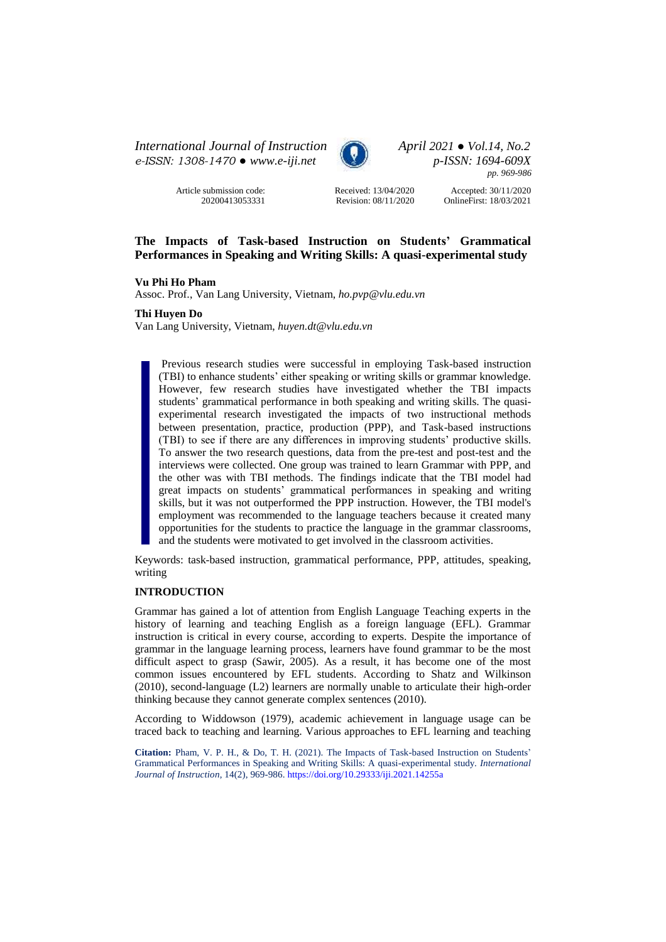*International Journal of Instruction April 2021 ● Vol.14, No.2 e-ISSN: 1308-1470 ● [www.e-iji.net](http://www.e-iji.net/) p-ISSN: 1694-609X*



*pp. 969-986*

Article submission code: 20200413053331 Received: 13/04/2020 Revision: 08/11/2020

Accepted: 30/11/2020 OnlineFirst: 18/03/2021

# **The Impacts of Task-based Instruction on Students' Grammatical Performances in Speaking and Writing Skills: A quasi-experimental study**

# **Vu Phi Ho Pham**

Assoc. Prof., Van Lang University, Vietnam, *ho.pvp@vlu.edu.vn*

## **Thi Huyen Do**

Van Lang University, Vietnam, *huyen.dt@vlu.edu.vn*

Previous research studies were successful in employing Task-based instruction (TBI) to enhance students' either speaking or writing skills or grammar knowledge. However, few research studies have investigated whether the TBI impacts students' grammatical performance in both speaking and writing skills. The quasiexperimental research investigated the impacts of two instructional methods between presentation, practice, production (PPP), and Task-based instructions (TBI) to see if there are any differences in improving students' productive skills. To answer the two research questions, data from the pre-test and post-test and the interviews were collected. One group was trained to learn Grammar with PPP, and the other was with TBI methods. The findings indicate that the TBI model had great impacts on students' grammatical performances in speaking and writing skills, but it was not outperformed the PPP instruction. However, the TBI model's employment was recommended to the language teachers because it created many opportunities for the students to practice the language in the grammar classrooms, and the students were motivated to get involved in the classroom activities.

Keywords: task-based instruction, grammatical performance, PPP, attitudes, speaking, writing

# **INTRODUCTION**

Grammar has gained a lot of attention from English Language Teaching experts in the history of learning and teaching English as a foreign language (EFL). Grammar instruction is critical in every course, according to experts. Despite the importance of grammar in the language learning process, learners have found grammar to be the most difficult aspect to grasp (Sawir, 2005). As a result, it has become one of the most common issues encountered by EFL students. According to Shatz and Wilkinson (2010), second-language (L2) learners are normally unable to articulate their high-order thinking because they cannot generate complex sentences (2010).

According to Widdowson (1979), academic achievement in language usage can be traced back to teaching and learning. Various approaches to EFL learning and teaching

**Citation:** Pham, V. P. H., & Do, T. H. (2021). The Impacts of Task-based Instruction on Students' Grammatical Performances in Speaking and Writing Skills: A quasi-experimental study. *International Journal of Instruction*, 14(2), 969-986.<https://doi.org/10.29333/iji.2021.14255a>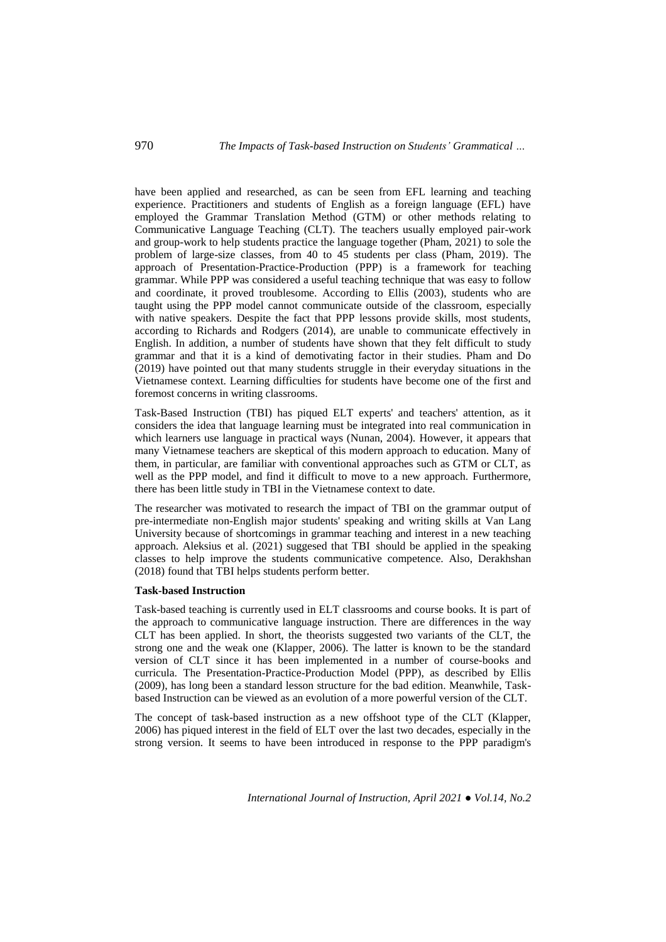have been applied and researched, as can be seen from EFL learning and teaching experience. Practitioners and students of English as a foreign language (EFL) have employed the Grammar Translation Method (GTM) or other methods relating to Communicative Language Teaching (CLT). The teachers usually employed pair-work and group-work to help students practice the language together (Pham, 2021) to sole the problem of large-size classes, from 40 to 45 students per class (Pham, 2019). The approach of Presentation-Practice-Production (PPP) is a framework for teaching grammar. While PPP was considered a useful teaching technique that was easy to follow and coordinate, it proved troublesome. According to Ellis (2003), students who are taught using the PPP model cannot communicate outside of the classroom, especially with native speakers. Despite the fact that PPP lessons provide skills, most students, according to Richards and Rodgers (2014), are unable to communicate effectively in English. In addition, a number of students have shown that they felt difficult to study grammar and that it is a kind of demotivating factor in their studies. Pham and Do (2019) have pointed out that many students struggle in their everyday situations in the Vietnamese context. Learning difficulties for students have become one of the first and foremost concerns in writing classrooms.

Task-Based Instruction (TBI) has piqued ELT experts' and teachers' attention, as it considers the idea that language learning must be integrated into real communication in which learners use language in practical ways (Nunan, 2004). However, it appears that many Vietnamese teachers are skeptical of this modern approach to education. Many of them, in particular, are familiar with conventional approaches such as GTM or CLT, as well as the PPP model, and find it difficult to move to a new approach. Furthermore, there has been little study in TBI in the Vietnamese context to date.

The researcher was motivated to research the impact of TBI on the grammar output of pre-intermediate non-English major students' speaking and writing skills at Van Lang University because of shortcomings in grammar teaching and interest in a new teaching approach. Aleksius et al. (2021) suggesed that TBI should be applied in the speaking classes to help improve the students communicative competence. Also, Derakhshan (2018) found that TBI helps students perform better.

## **Task-based Instruction**

Task-based teaching is currently used in ELT classrooms and course books. It is part of the approach to communicative language instruction. There are differences in the way CLT has been applied. In short, the theorists suggested two variants of the CLT, the strong one and the weak one (Klapper, 2006). The latter is known to be the standard version of CLT since it has been implemented in a number of course-books and curricula. The Presentation-Practice-Production Model (PPP), as described by Ellis (2009), has long been a standard lesson structure for the bad edition. Meanwhile, Taskbased Instruction can be viewed as an evolution of a more powerful version of the CLT.

The concept of task-based instruction as a new offshoot type of the CLT (Klapper, 2006) has piqued interest in the field of ELT over the last two decades, especially in the strong version. It seems to have been introduced in response to the PPP paradigm's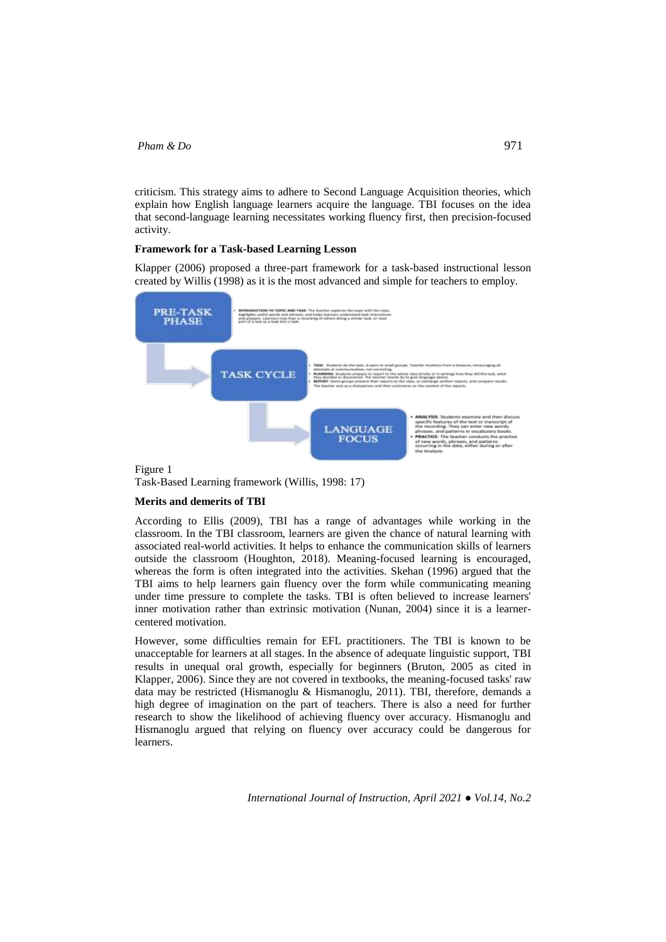criticism. This strategy aims to adhere to Second Language Acquisition theories, which explain how English language learners acquire the language. TBI focuses on the idea that second-language learning necessitates working fluency first, then precision-focused activity.

## **Framework for a Task-based Learning Lesson**

Klapper (2006) proposed a three-part framework for a task-based instructional lesson created by Willis (1998) as it is the most advanced and simple for teachers to employ.



Task-Based Learning framework (Willis, 1998: 17)

### **Merits and demerits of TBI**

According to Ellis (2009), TBI has a range of advantages while working in the classroom. In the TBI classroom, learners are given the chance of natural learning with associated real-world activities. It helps to enhance the communication skills of learners outside the classroom (Houghton, 2018). Meaning-focused learning is encouraged, whereas the form is often integrated into the activities. Skehan (1996) argued that the TBI aims to help learners gain fluency over the form while communicating meaning under time pressure to complete the tasks. TBI is often believed to increase learners' inner motivation rather than extrinsic motivation (Nunan, 2004) since it is a learnercentered motivation.

However, some difficulties remain for EFL practitioners. The TBI is known to be unacceptable for learners at all stages. In the absence of adequate linguistic support, TBI results in unequal oral growth, especially for beginners (Bruton, 2005 as cited in Klapper, 2006). Since they are not covered in textbooks, the meaning-focused tasks' raw data may be restricted (Hismanoglu & Hismanoglu, 2011). TBI, therefore, demands a high degree of imagination on the part of teachers. There is also a need for further research to show the likelihood of achieving fluency over accuracy. Hismanoglu and Hismanoglu argued that relying on fluency over accuracy could be dangerous for learners.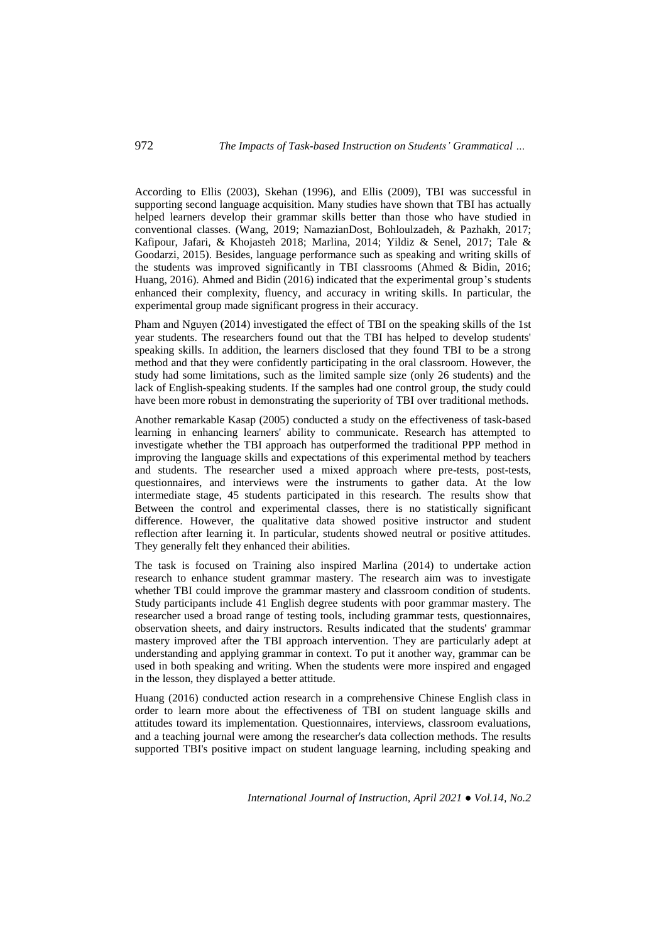# 972 *The Impacts of Task-based Instruction on Students' Grammatical …*

According to Ellis (2003), Skehan (1996), and Ellis (2009), TBI was successful in supporting second language acquisition. Many studies have shown that TBI has actually helped learners develop their grammar skills better than those who have studied in conventional classes. (Wang, 2019; NamazianDost, Bohloulzadeh, & Pazhakh, 2017; Kafipour, Jafari, & Khojasteh 2018; Marlina, 2014; Yildiz & Senel, 2017; Tale & Goodarzi, 2015). Besides, language performance such as speaking and writing skills of the students was improved significantly in TBI classrooms (Ahmed & Bidin, 2016; Huang, 2016). Ahmed and Bidin (2016) indicated that the experimental group's students enhanced their complexity, fluency, and accuracy in writing skills. In particular, the experimental group made significant progress in their accuracy.

Pham and Nguyen (2014) investigated the effect of TBI on the speaking skills of the 1st year students. The researchers found out that the TBI has helped to develop students' speaking skills. In addition, the learners disclosed that they found TBI to be a strong method and that they were confidently participating in the oral classroom. However, the study had some limitations, such as the limited sample size (only 26 students) and the lack of English-speaking students. If the samples had one control group, the study could have been more robust in demonstrating the superiority of TBI over traditional methods.

Another remarkable Kasap (2005) conducted a study on the effectiveness of task-based learning in enhancing learners' ability to communicate. Research has attempted to investigate whether the TBI approach has outperformed the traditional PPP method in improving the language skills and expectations of this experimental method by teachers and students. The researcher used a mixed approach where pre-tests, post-tests, questionnaires, and interviews were the instruments to gather data. At the low intermediate stage, 45 students participated in this research. The results show that Between the control and experimental classes, there is no statistically significant difference. However, the qualitative data showed positive instructor and student reflection after learning it. In particular, students showed neutral or positive attitudes. They generally felt they enhanced their abilities.

The task is focused on Training also inspired Marlina (2014) to undertake action research to enhance student grammar mastery. The research aim was to investigate whether TBI could improve the grammar mastery and classroom condition of students. Study participants include 41 English degree students with poor grammar mastery. The researcher used a broad range of testing tools, including grammar tests, questionnaires, observation sheets, and dairy instructors. Results indicated that the students' grammar mastery improved after the TBI approach intervention. They are particularly adept at understanding and applying grammar in context. To put it another way, grammar can be used in both speaking and writing. When the students were more inspired and engaged in the lesson, they displayed a better attitude.

Huang (2016) conducted action research in a comprehensive Chinese English class in order to learn more about the effectiveness of TBI on student language skills and attitudes toward its implementation. Questionnaires, interviews, classroom evaluations, and a teaching journal were among the researcher's data collection methods. The results supported TBI's positive impact on student language learning, including speaking and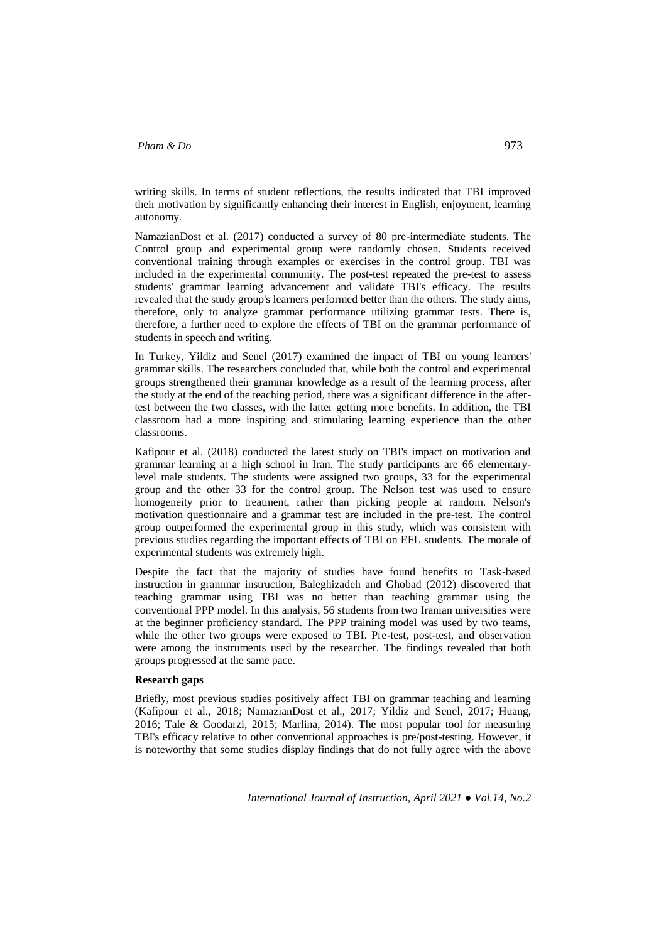writing skills. In terms of student reflections, the results indicated that TBI improved their motivation by significantly enhancing their interest in English, enjoyment, learning autonomy.

NamazianDost et al. (2017) conducted a survey of 80 pre-intermediate students. The Control group and experimental group were randomly chosen. Students received conventional training through examples or exercises in the control group. TBI was included in the experimental community. The post-test repeated the pre-test to assess students' grammar learning advancement and validate TBI's efficacy. The results revealed that the study group's learners performed better than the others. The study aims, therefore, only to analyze grammar performance utilizing grammar tests. There is, therefore, a further need to explore the effects of TBI on the grammar performance of students in speech and writing.

In Turkey, Yildiz and Senel (2017) examined the impact of TBI on young learners' grammar skills. The researchers concluded that, while both the control and experimental groups strengthened their grammar knowledge as a result of the learning process, after the study at the end of the teaching period, there was a significant difference in the aftertest between the two classes, with the latter getting more benefits. In addition, the TBI classroom had a more inspiring and stimulating learning experience than the other classrooms.

Kafipour et al. (2018) conducted the latest study on TBI's impact on motivation and grammar learning at a high school in Iran. The study participants are 66 elementarylevel male students. The students were assigned two groups, 33 for the experimental group and the other 33 for the control group. The Nelson test was used to ensure homogeneity prior to treatment, rather than picking people at random. Nelson's motivation questionnaire and a grammar test are included in the pre-test. The control group outperformed the experimental group in this study, which was consistent with previous studies regarding the important effects of TBI on EFL students. The morale of experimental students was extremely high.

Despite the fact that the majority of studies have found benefits to Task-based instruction in grammar instruction, Baleghizadeh and Ghobad (2012) discovered that teaching grammar using TBI was no better than teaching grammar using the conventional PPP model. In this analysis, 56 students from two Iranian universities were at the beginner proficiency standard. The PPP training model was used by two teams, while the other two groups were exposed to TBI. Pre-test, post-test, and observation were among the instruments used by the researcher. The findings revealed that both groups progressed at the same pace.

### **Research gaps**

Briefly, most previous studies positively affect TBI on grammar teaching and learning (Kafipour et al., 2018; NamazianDost et al., 2017; Yildiz and Senel, 2017; Huang, 2016; Tale & Goodarzi, 2015; Marlina, 2014). The most popular tool for measuring TBI's efficacy relative to other conventional approaches is pre/post-testing. However, it is noteworthy that some studies display findings that do not fully agree with the above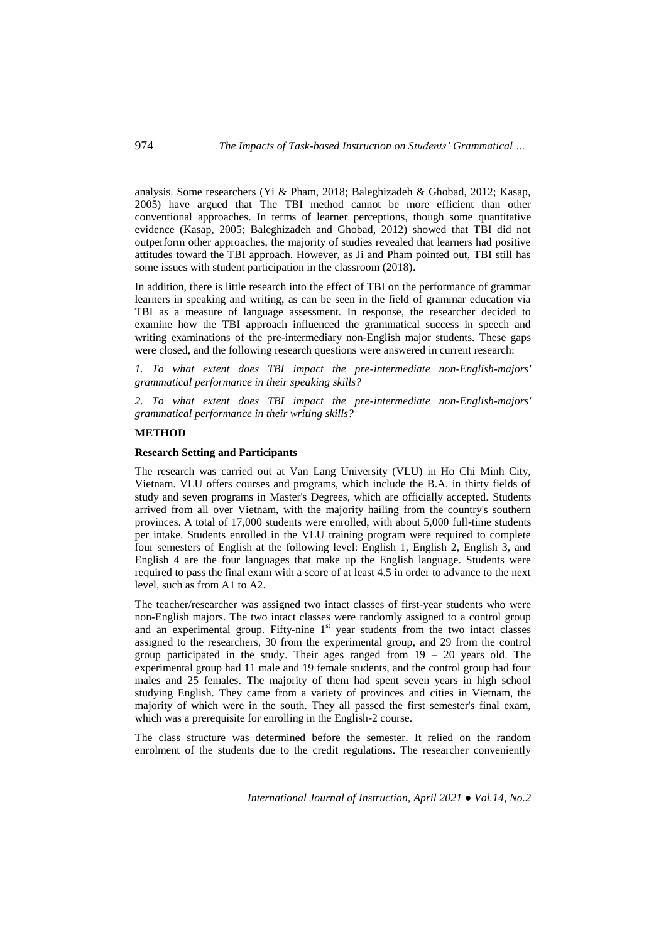analysis. Some researchers (Yi & Pham, 2018; Baleghizadeh & Ghobad, 2012; Kasap, 2005) have argued that The TBI method cannot be more efficient than other conventional approaches. In terms of learner perceptions, though some quantitative evidence (Kasap, 2005; Baleghizadeh and Ghobad, 2012) showed that TBI did not outperform other approaches, the majority of studies revealed that learners had positive attitudes toward the TBI approach. However, as Ji and Pham pointed out, TBI still has some issues with student participation in the classroom (2018).

In addition, there is little research into the effect of TBI on the performance of grammar learners in speaking and writing, as can be seen in the field of grammar education via TBI as a measure of language assessment. In response, the researcher decided to examine how the TBI approach influenced the grammatical success in speech and writing examinations of the pre-intermediary non-English major students. These gaps were closed, and the following research questions were answered in current research:

*1. To what extent does TBI impact the pre-intermediate non-English-majors' grammatical performance in their speaking skills?*

*2. To what extent does TBI impact the pre-intermediate non-English-majors' grammatical performance in their writing skills?*

## **METHOD**

## **Research Setting and Participants**

The research was carried out at Van Lang University (VLU) in Ho Chi Minh City, Vietnam. VLU offers courses and programs, which include the B.A. in thirty fields of study and seven programs in Master's Degrees, which are officially accepted. Students arrived from all over Vietnam, with the majority hailing from the country's southern provinces. A total of 17,000 students were enrolled, with about 5,000 full-time students per intake. Students enrolled in the VLU training program were required to complete four semesters of English at the following level: English 1, English 2, English 3, and English 4 are the four languages that make up the English language. Students were required to pass the final exam with a score of at least 4.5 in order to advance to the next level, such as from A1 to A2.

The teacher/researcher was assigned two intact classes of first-year students who were non-English majors. The two intact classes were randomly assigned to a control group and an experimental group. Fifty-nine 1<sup>st</sup> year students from the two intact classes assigned to the researchers, 30 from the experimental group, and 29 from the control group participated in the study. Their ages ranged from  $19 - 20$  years old. The experimental group had 11 male and 19 female students, and the control group had four males and 25 females. The majority of them had spent seven years in high school studying English. They came from a variety of provinces and cities in Vietnam, the majority of which were in the south. They all passed the first semester's final exam, which was a prerequisite for enrolling in the English-2 course.

The class structure was determined before the semester. It relied on the random enrolment of the students due to the credit regulations. The researcher conveniently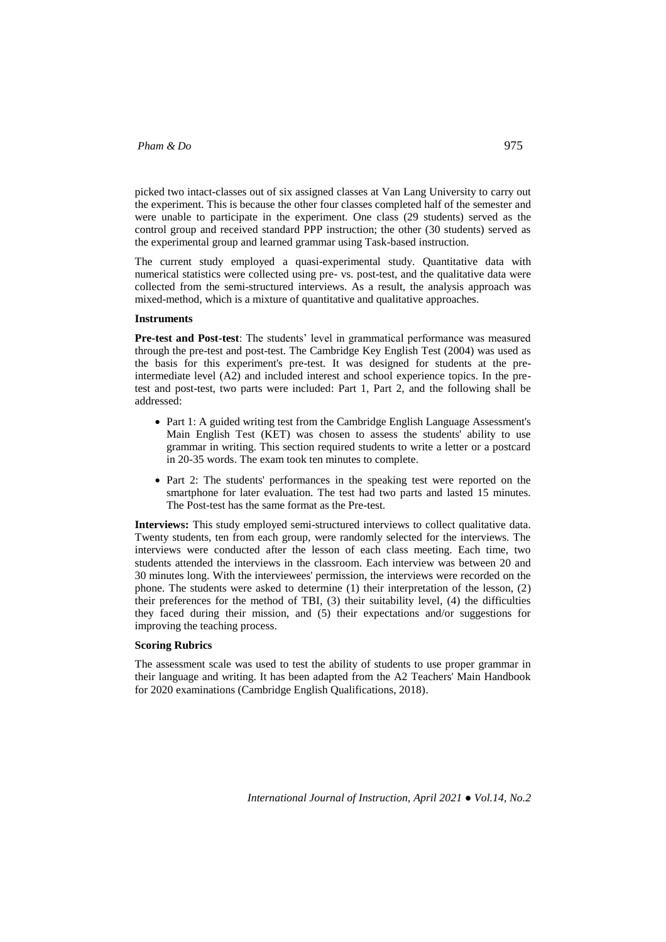picked two intact-classes out of six assigned classes at Van Lang University to carry out the experiment. This is because the other four classes completed half of the semester and were unable to participate in the experiment. One class (29 students) served as the control group and received standard PPP instruction; the other (30 students) served as the experimental group and learned grammar using Task-based instruction.

The current study employed a quasi-experimental study. Quantitative data with numerical statistics were collected using pre- vs. post-test, and the qualitative data were collected from the semi-structured interviews. As a result, the analysis approach was mixed-method, which is a mixture of quantitative and qualitative approaches.

#### **Instruments**

**Pre-test and Post-test**: The students' level in grammatical performance was measured through the pre-test and post-test. The Cambridge Key English Test (2004) was used as the basis for this experiment's pre-test. It was designed for students at the preintermediate level (A2) and included interest and school experience topics. In the pretest and post-test, two parts were included: Part 1, Part 2, and the following shall be addressed:

- Part 1: A guided writing test from the Cambridge English Language Assessment's Main English Test (KET) was chosen to assess the students' ability to use grammar in writing. This section required students to write a letter or a postcard in 20-35 words. The exam took ten minutes to complete.
- Part 2: The students' performances in the speaking test were reported on the smartphone for later evaluation. The test had two parts and lasted 15 minutes. The Post-test has the same format as the Pre-test.

**Interviews:** This study employed semi-structured interviews to collect qualitative data. Twenty students, ten from each group, were randomly selected for the interviews. The interviews were conducted after the lesson of each class meeting. Each time, two students attended the interviews in the classroom. Each interview was between 20 and 30 minutes long. With the interviewees' permission, the interviews were recorded on the phone. The students were asked to determine (1) their interpretation of the lesson, (2) their preferences for the method of TBI, (3) their suitability level, (4) the difficulties they faced during their mission, and (5) their expectations and/or suggestions for improving the teaching process.

## **Scoring Rubrics**

The assessment scale was used to test the ability of students to use proper grammar in their language and writing. It has been adapted from the A2 Teachers' Main Handbook for 2020 examinations (Cambridge English Qualifications, 2018).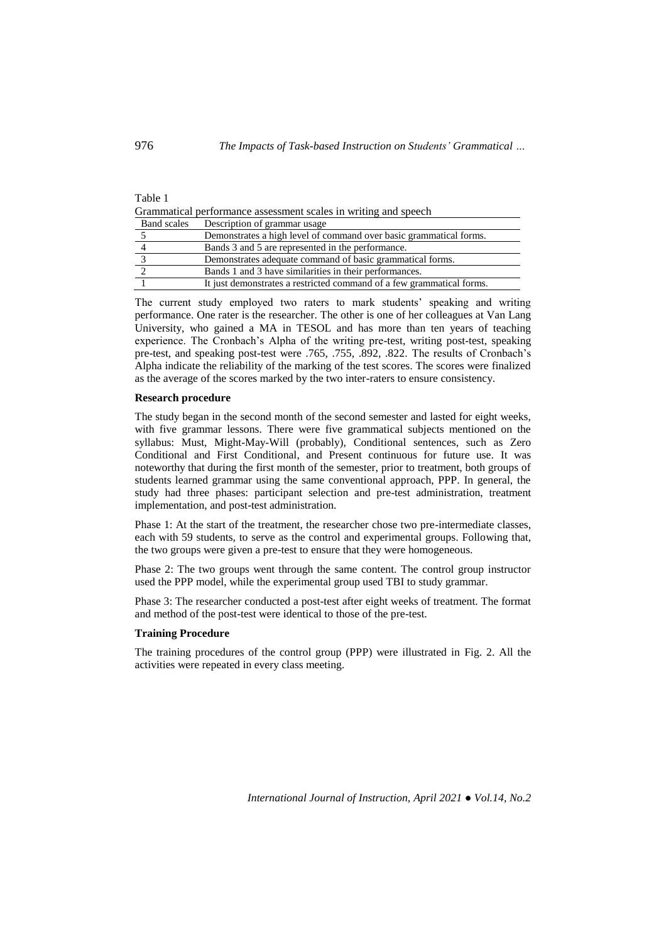#### Table 1

Grammatical performance assessment scales in writing and speech

| <b>Band scales</b> | Description of grammar usage                                          |
|--------------------|-----------------------------------------------------------------------|
|                    | Demonstrates a high level of command over basic grammatical forms.    |
|                    | Bands 3 and 5 are represented in the performance.                     |
|                    | Demonstrates adequate command of basic grammatical forms.             |
|                    | Bands 1 and 3 have similarities in their performances.                |
|                    | It just demonstrates a restricted command of a few grammatical forms. |

The current study employed two raters to mark students' speaking and writing performance. One rater is the researcher. The other is one of her colleagues at Van Lang University, who gained a MA in TESOL and has more than ten years of teaching experience. The Cronbach's Alpha of the writing pre-test, writing post-test, speaking pre-test, and speaking post-test were .765, .755, .892, .822. The results of Cronbach's Alpha indicate the reliability of the marking of the test scores. The scores were finalized as the average of the scores marked by the two inter-raters to ensure consistency.

#### **Research procedure**

The study began in the second month of the second semester and lasted for eight weeks, with five grammar lessons. There were five grammatical subjects mentioned on the syllabus: Must, Might-May-Will (probably), Conditional sentences, such as Zero Conditional and First Conditional, and Present continuous for future use. It was noteworthy that during the first month of the semester, prior to treatment, both groups of students learned grammar using the same conventional approach, PPP. In general, the study had three phases: participant selection and pre-test administration, treatment implementation, and post-test administration.

Phase 1: At the start of the treatment, the researcher chose two pre-intermediate classes, each with 59 students, to serve as the control and experimental groups. Following that, the two groups were given a pre-test to ensure that they were homogeneous.

Phase 2: The two groups went through the same content. The control group instructor used the PPP model, while the experimental group used TBI to study grammar.

Phase 3: The researcher conducted a post-test after eight weeks of treatment. The format and method of the post-test were identical to those of the pre-test.

## **Training Procedure**

The training procedures of the control group (PPP) were illustrated in Fig. 2. All the activities were repeated in every class meeting.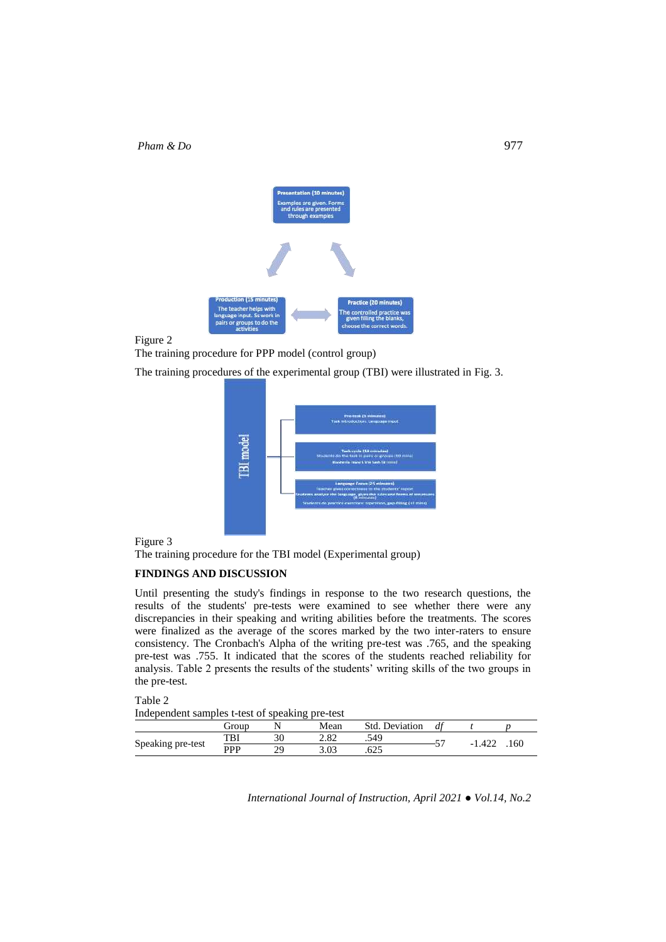

Figure 2

The training procedure for PPP model (control group)

The training procedures of the experimental group (TBI) were illustrated in Fig. 3.



Figure 3

The training procedure for the TBI model (Experimental group)

## **FINDINGS AND DISCUSSION**

Until presenting the study's findings in response to the two research questions, the results of the students' pre-tests were examined to see whether there were any discrepancies in their speaking and writing abilities before the treatments. The scores were finalized as the average of the scores marked by the two inter-raters to ensure consistency. The Cronbach's Alpha of the writing pre-test was .765, and the speaking pre-test was .755. It indicated that the scores of the students reached reliability for analysis. Table 2 presents the results of the students' writing skills of the two groups in the pre-test.

| Table 2                                         |  |  |
|-------------------------------------------------|--|--|
| Independent samples t-test of speaking pre-test |  |  |
|                                                 |  |  |

|                   |            |           | ___           |                   |    |        |     |
|-------------------|------------|-----------|---------------|-------------------|----|--------|-----|
|                   | eroup      |           | Mean          | Std.<br>Deviation | df |        |     |
|                   | TBI        | ◡         | າ ໑າ<br>2.OZ  | .549              | -- | -1.422 | -60 |
| Speaking pre-test | <b>PPP</b> | າດ<br>ـ ت | 2 N 2<br>J.VJ | 625<br>ـە∠        |    |        |     |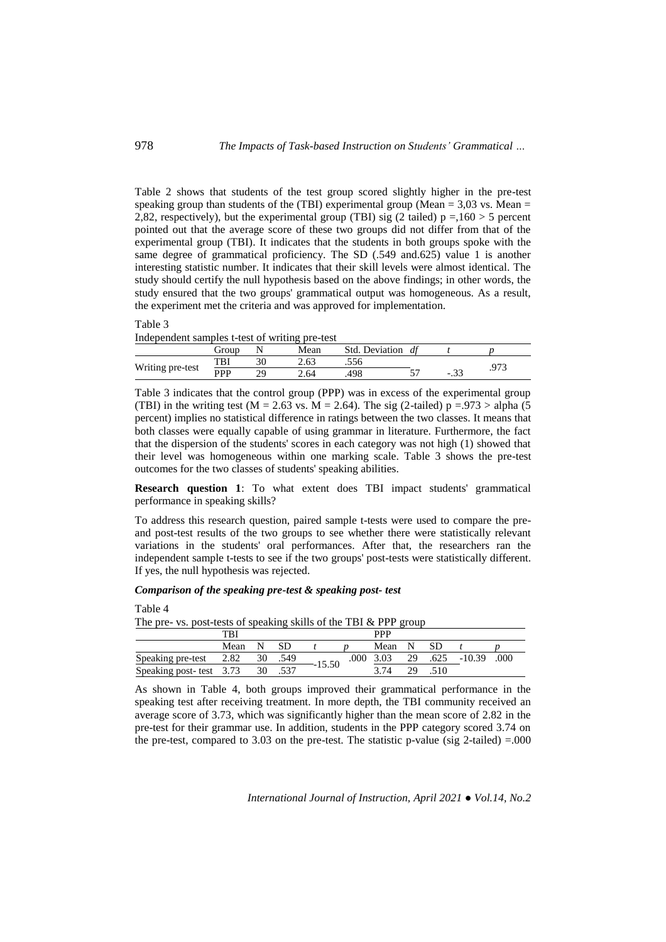Table 2 shows that students of the test group scored slightly higher in the pre-test speaking group than students of the (TBI) experimental group (Mean  $=$  3.03 vs. Mean  $=$ 2,82, respectively), but the experimental group (TBI) sig (2 tailed)  $p = 160 > 5$  percent pointed out that the average score of these two groups did not differ from that of the experimental group (TBI). It indicates that the students in both groups spoke with the same degree of grammatical proficiency. The SD (.549 and.625) value 1 is another interesting statistic number. It indicates that their skill levels were almost identical. The study should certify the null hypothesis based on the above findings; in other words, the study ensured that the two groups' grammatical output was homogeneous. As a result, the experiment met the criteria and was approved for implementation.

#### Table 3 Independent samples t-test of writing pre-test

|                  |       |    | -----               |                   |              |      |       |  |
|------------------|-------|----|---------------------|-------------------|--------------|------|-------|--|
|                  | Group |    | Mean                | Std.<br>Deviation | $d^{\prime}$ |      |       |  |
|                  | TBI   | nη | $\epsilon$<br>ت ں ک | .556              |              |      | ∩¬≏   |  |
| Writing pre-test | PPP   | ЭC | 4.64                | 498               |              | -.วว | ر ر ر |  |

Table 3 indicates that the control group (PPP) was in excess of the experimental group (TBI) in the writing test (M = 2.63 vs. M = 2.64). The sig (2-tailed)  $p = .973 >$  alpha (5) percent) implies no statistical difference in ratings between the two classes. It means that both classes were equally capable of using grammar in literature. Furthermore, the fact that the dispersion of the students' scores in each category was not high (1) showed that their level was homogeneous within one marking scale. Table 3 shows the pre-test outcomes for the two classes of students' speaking abilities.

**Research question 1**: To what extent does TBI impact students' grammatical performance in speaking skills?

To address this research question, paired sample t-tests were used to compare the preand post-test results of the two groups to see whether there were statistically relevant variations in the students' oral performances. After that, the researchers ran the independent sample t-tests to see if the two groups' post-tests were statistically different. If yes, the null hypothesis was rejected.

# *Comparison of the speaking pre-test & speaking post- test*

Table 4

The pre- vs. post-tests of speaking skills of the TBI & PPP group

|                         | TBI  |    |      |          | <b>PPP</b> |        |    |    |                              |      |
|-------------------------|------|----|------|----------|------------|--------|----|----|------------------------------|------|
|                         | Mean |    |      |          |            | Mean N |    | SD |                              |      |
| Speaking pre-test 2.82  |      | 30 | .549 | $-15.50$ |            |        |    |    | $.000$ 3.03 29 $.625$ -10.39 | .000 |
| Speaking post-test 3.73 |      | 30 |      |          |            | 3.74   | 29 |    |                              |      |

As shown in Table 4, both groups improved their grammatical performance in the speaking test after receiving treatment. In more depth, the TBI community received an average score of 3.73, which was significantly higher than the mean score of 2.82 in the pre-test for their grammar use. In addition, students in the PPP category scored 3.74 on the pre-test, compared to 3.03 on the pre-test. The statistic p-value (sig 2-tailed) =.000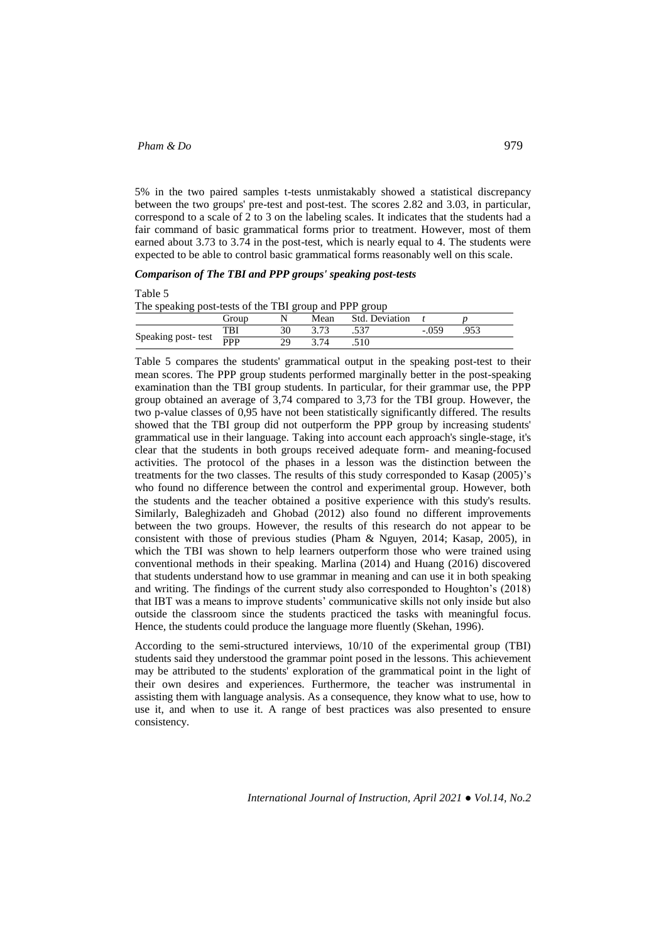5% in the two paired samples t-tests unmistakably showed a statistical discrepancy between the two groups' pre-test and post-test. The scores 2.82 and 3.03, in particular, correspond to a scale of 2 to 3 on the labeling scales. It indicates that the students had a fair command of basic grammatical forms prior to treatment. However, most of them earned about 3.73 to 3.74 in the post-test, which is nearly equal to 4. The students were expected to be able to control basic grammatical forms reasonably well on this scale.

# *Comparison of The TBI and PPP groups' speaking post-tests*

Table 5

The speaking post-tests of the TBI group and PPP group

|                    | Group      |           | Mean | Std.<br>Deviation |     |      |
|--------------------|------------|-----------|------|-------------------|-----|------|
| Speaking post-test | TBI        | 30        | າ າາ | .JJ               | 059 | .953 |
|                    | <b>PPP</b> | dΩ<br>ر ب |      | .510              |     |      |

Table 5 compares the students' grammatical output in the speaking post-test to their mean scores. The PPP group students performed marginally better in the post-speaking examination than the TBI group students. In particular, for their grammar use, the PPP group obtained an average of 3,74 compared to 3,73 for the TBI group. However, the two p-value classes of 0,95 have not been statistically significantly differed. The results showed that the TBI group did not outperform the PPP group by increasing students' grammatical use in their language. Taking into account each approach's single-stage, it's clear that the students in both groups received adequate form- and meaning-focused activities. The protocol of the phases in a lesson was the distinction between the treatments for the two classes. The results of this study corresponded to Kasap (2005)'s who found no difference between the control and experimental group. However, both the students and the teacher obtained a positive experience with this study's results. Similarly, Baleghizadeh and Ghobad (2012) also found no different improvements between the two groups. However, the results of this research do not appear to be consistent with those of previous studies (Pham & Nguyen, 2014; Kasap, 2005), in which the TBI was shown to help learners outperform those who were trained using conventional methods in their speaking. Marlina (2014) and Huang (2016) discovered that students understand how to use grammar in meaning and can use it in both speaking and writing. The findings of the current study also corresponded to Houghton's (2018) that IBT was a means to improve students' communicative skills not only inside but also outside the classroom since the students practiced the tasks with meaningful focus. Hence, the students could produce the language more fluently (Skehan, 1996).

According to the semi-structured interviews, 10/10 of the experimental group (TBI) students said they understood the grammar point posed in the lessons. This achievement may be attributed to the students' exploration of the grammatical point in the light of their own desires and experiences. Furthermore, the teacher was instrumental in assisting them with language analysis. As a consequence, they know what to use, how to use it, and when to use it. A range of best practices was also presented to ensure consistency.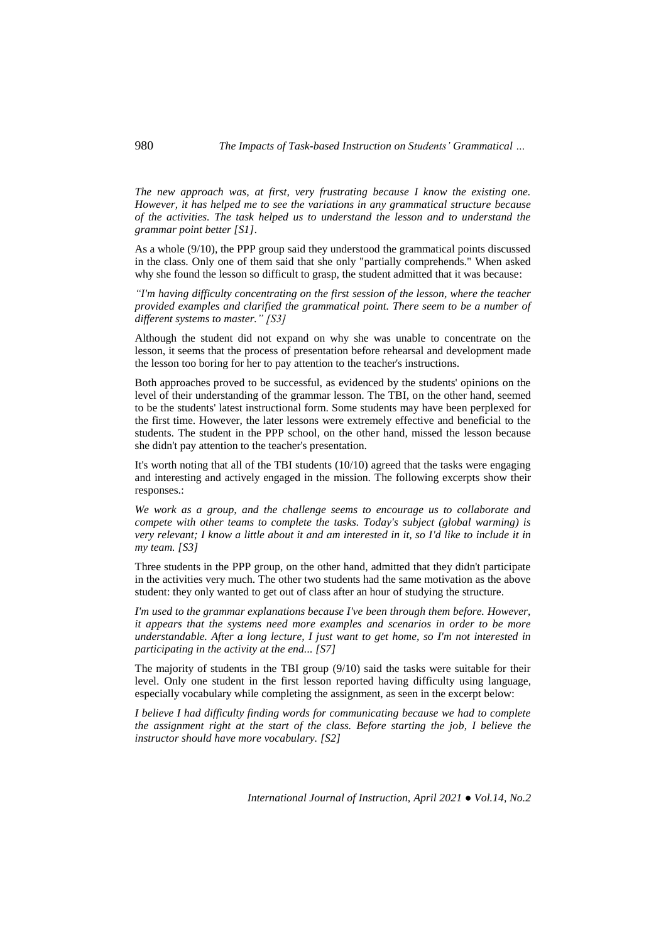*The new approach was, at first, very frustrating because I know the existing one. However, it has helped me to see the variations in any grammatical structure because of the activities. The task helped us to understand the lesson and to understand the grammar point better [S1].*

As a whole (9/10), the PPP group said they understood the grammatical points discussed in the class. Only one of them said that she only "partially comprehends." When asked why she found the lesson so difficult to grasp, the student admitted that it was because:

*"I'm having difficulty concentrating on the first session of the lesson, where the teacher provided examples and clarified the grammatical point. There seem to be a number of different systems to master." [S3]*

Although the student did not expand on why she was unable to concentrate on the lesson, it seems that the process of presentation before rehearsal and development made the lesson too boring for her to pay attention to the teacher's instructions.

Both approaches proved to be successful, as evidenced by the students' opinions on the level of their understanding of the grammar lesson. The TBI, on the other hand, seemed to be the students' latest instructional form. Some students may have been perplexed for the first time. However, the later lessons were extremely effective and beneficial to the students. The student in the PPP school, on the other hand, missed the lesson because she didn't pay attention to the teacher's presentation.

It's worth noting that all of the TBI students (10/10) agreed that the tasks were engaging and interesting and actively engaged in the mission. The following excerpts show their responses.:

*We work as a group, and the challenge seems to encourage us to collaborate and compete with other teams to complete the tasks. Today's subject (global warming) is very relevant; I know a little about it and am interested in it, so I'd like to include it in my team. [S3]*

Three students in the PPP group, on the other hand, admitted that they didn't participate in the activities very much. The other two students had the same motivation as the above student: they only wanted to get out of class after an hour of studying the structure.

*I'm used to the grammar explanations because I've been through them before. However, it appears that the systems need more examples and scenarios in order to be more understandable. After a long lecture, I just want to get home, so I'm not interested in participating in the activity at the end... [S7]*

The majority of students in the TBI group (9/10) said the tasks were suitable for their level. Only one student in the first lesson reported having difficulty using language, especially vocabulary while completing the assignment, as seen in the excerpt below:

*I believe I had difficulty finding words for communicating because we had to complete the assignment right at the start of the class. Before starting the job, I believe the instructor should have more vocabulary. [S2]*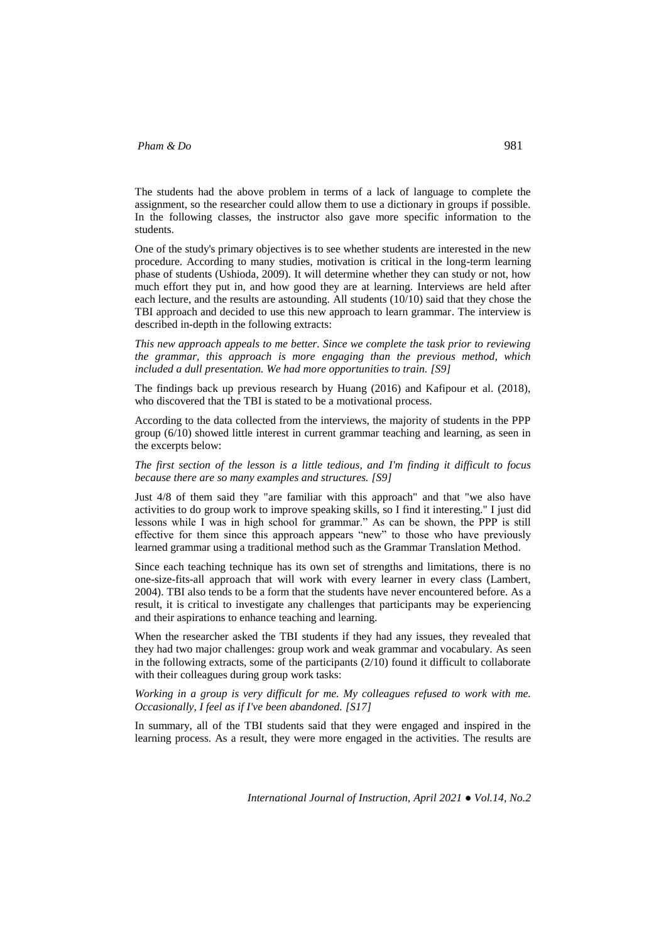The students had the above problem in terms of a lack of language to complete the assignment, so the researcher could allow them to use a dictionary in groups if possible. In the following classes, the instructor also gave more specific information to the students.

One of the study's primary objectives is to see whether students are interested in the new procedure. According to many studies, motivation is critical in the long-term learning phase of students (Ushioda, 2009). It will determine whether they can study or not, how much effort they put in, and how good they are at learning. Interviews are held after each lecture, and the results are astounding. All students (10/10) said that they chose the TBI approach and decided to use this new approach to learn grammar. The interview is described in-depth in the following extracts:

*This new approach appeals to me better. Since we complete the task prior to reviewing the grammar, this approach is more engaging than the previous method, which included a dull presentation. We had more opportunities to train. [S9]*

The findings back up previous research by Huang (2016) and Kafipour et al. (2018), who discovered that the TBI is stated to be a motivational process.

According to the data collected from the interviews, the majority of students in the PPP group (6/10) showed little interest in current grammar teaching and learning, as seen in the excerpts below:

*The first section of the lesson is a little tedious, and I'm finding it difficult to focus because there are so many examples and structures. [S9]*

Just 4/8 of them said they "are familiar with this approach" and that "we also have activities to do group work to improve speaking skills, so I find it interesting." I just did lessons while I was in high school for grammar." As can be shown, the PPP is still effective for them since this approach appears "new" to those who have previously learned grammar using a traditional method such as the Grammar Translation Method.

Since each teaching technique has its own set of strengths and limitations, there is no one-size-fits-all approach that will work with every learner in every class (Lambert, 2004). TBI also tends to be a form that the students have never encountered before. As a result, it is critical to investigate any challenges that participants may be experiencing and their aspirations to enhance teaching and learning.

When the researcher asked the TBI students if they had any issues, they revealed that they had two major challenges: group work and weak grammar and vocabulary. As seen in the following extracts, some of the participants  $(2/10)$  found it difficult to collaborate with their colleagues during group work tasks:

*Working in a group is very difficult for me. My colleagues refused to work with me. Occasionally, I feel as if I've been abandoned. [S17]*

In summary, all of the TBI students said that they were engaged and inspired in the learning process. As a result, they were more engaged in the activities. The results are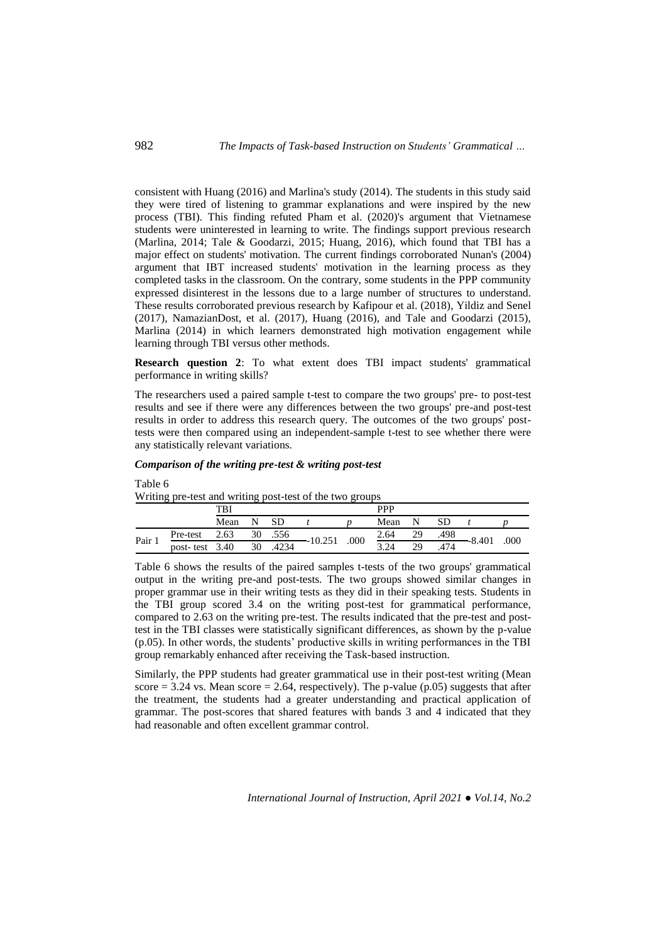consistent with Huang (2016) and Marlina's study (2014). The students in this study said they were tired of listening to grammar explanations and were inspired by the new process (TBI). This finding refuted Pham et al. (2020)'s argument that Vietnamese students were uninterested in learning to write. The findings support previous research (Marlina, 2014; Tale & Goodarzi, 2015; Huang, 2016), which found that TBI has a major effect on students' motivation. The current findings corroborated Nunan's (2004) argument that IBT increased students' motivation in the learning process as they completed tasks in the classroom. On the contrary, some students in the PPP community expressed disinterest in the lessons due to a large number of structures to understand. These results corroborated previous research by Kafipour et al. (2018), Yildiz and Senel (2017), NamazianDost, et al. (2017), Huang (2016), and Tale and Goodarzi (2015), Marlina (2014) in which learners demonstrated high motivation engagement while learning through TBI versus other methods.

**Research question 2**: To what extent does TBI impact students' grammatical performance in writing skills?

The researchers used a paired sample t-test to compare the two groups' pre- to post-test results and see if there were any differences between the two groups' pre-and post-test results in order to address this research query. The outcomes of the two groups' posttests were then compared using an independent-sample t-test to see whether there were any statistically relevant variations.

## *Comparison of the writing pre-test & writing post-test*

## Table 6

Writing pre-test and writing post-test of the two groups

|      |           | TBI  |    |      |        |      | <b>PPP</b> |    |      |        |      |
|------|-----------|------|----|------|--------|------|------------|----|------|--------|------|
|      |           | Mean |    |      |        |      | Mean       |    |      |        |      |
| Pair | Pre-test  | 2.63 | 30 | .556 |        | .000 | 2.64       | 29 | .498 |        | .000 |
|      | post-test | 3.40 | 30 | 4234 | 10.251 |      | 3.24       | 29 | 474  | -8.401 |      |

Table 6 shows the results of the paired samples t-tests of the two groups' grammatical output in the writing pre-and post-tests. The two groups showed similar changes in proper grammar use in their writing tests as they did in their speaking tests. Students in the TBI group scored 3.4 on the writing post-test for grammatical performance, compared to 2.63 on the writing pre-test. The results indicated that the pre-test and posttest in the TBI classes were statistically significant differences, as shown by the p-value (p.05). In other words, the students' productive skills in writing performances in the TBI group remarkably enhanced after receiving the Task-based instruction.

Similarly, the PPP students had greater grammatical use in their post-test writing (Mean score  $= 3.24$  vs. Mean score  $= 2.64$ , respectively). The p-value (p.05) suggests that after the treatment, the students had a greater understanding and practical application of grammar. The post-scores that shared features with bands 3 and 4 indicated that they had reasonable and often excellent grammar control.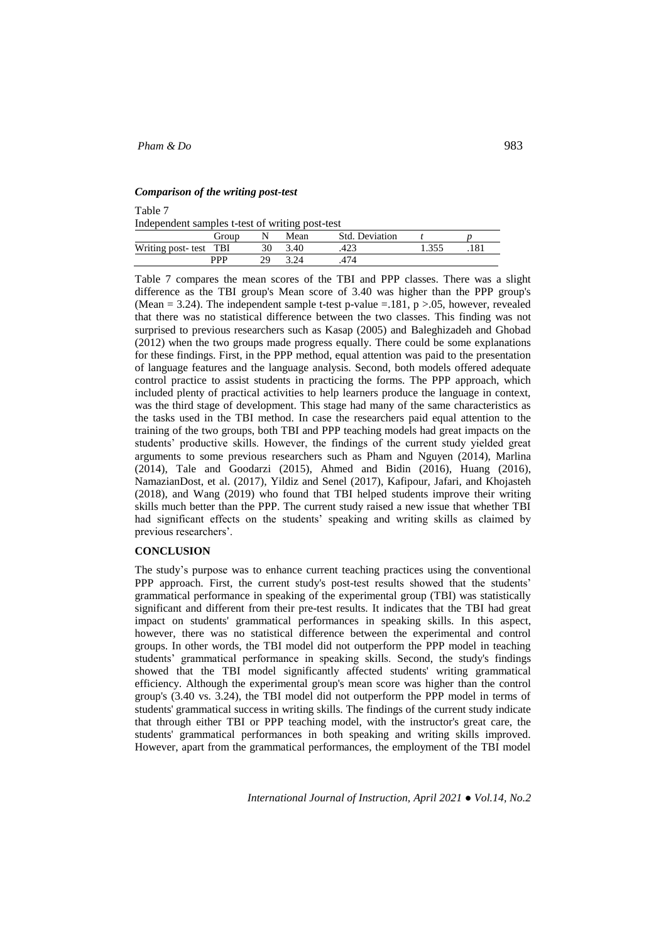# *Comparison of the writing post-test*

Table 7

Independent samples t-test of writing post-test

| macpenaeur samples t test of writing post test |       |  |      |                |  |  |  |  |  |  |
|------------------------------------------------|-------|--|------|----------------|--|--|--|--|--|--|
|                                                | Group |  | Mean | Std. Deviation |  |  |  |  |  |  |
| Writing post-test TBI                          |       |  | 3.40 |                |  |  |  |  |  |  |
|                                                | PPP   |  |      | 474            |  |  |  |  |  |  |

Table 7 compares the mean scores of the TBI and PPP classes. There was a slight difference as the TBI group's Mean score of 3.40 was higher than the PPP group's (Mean = 3.24). The independent sample t-test p-value =  $.181, p > .05$ , however, revealed that there was no statistical difference between the two classes. This finding was not surprised to previous researchers such as Kasap (2005) and Baleghizadeh and Ghobad (2012) when the two groups made progress equally. There could be some explanations for these findings. First, in the PPP method, equal attention was paid to the presentation of language features and the language analysis. Second, both models offered adequate control practice to assist students in practicing the forms. The PPP approach, which included plenty of practical activities to help learners produce the language in context, was the third stage of development. This stage had many of the same characteristics as the tasks used in the TBI method. In case the researchers paid equal attention to the training of the two groups, both TBI and PPP teaching models had great impacts on the students' productive skills. However, the findings of the current study yielded great arguments to some previous researchers such as Pham and Nguyen (2014), Marlina (2014), Tale and Goodarzi (2015), Ahmed and Bidin (2016), Huang (2016), NamazianDost, et al. (2017), Yildiz and Senel (2017), Kafipour, Jafari, and Khojasteh (2018), and Wang (2019) who found that TBI helped students improve their writing skills much better than the PPP. The current study raised a new issue that whether TBI had significant effects on the students' speaking and writing skills as claimed by previous researchers'.

# **CONCLUSION**

The study's purpose was to enhance current teaching practices using the conventional PPP approach. First, the current study's post-test results showed that the students' grammatical performance in speaking of the experimental group (TBI) was statistically significant and different from their pre-test results. It indicates that the TBI had great impact on students' grammatical performances in speaking skills. In this aspect, however, there was no statistical difference between the experimental and control groups. In other words, the TBI model did not outperform the PPP model in teaching students' grammatical performance in speaking skills. Second, the study's findings showed that the TBI model significantly affected students' writing grammatical efficiency. Although the experimental group's mean score was higher than the control group's (3.40 vs. 3.24), the TBI model did not outperform the PPP model in terms of students' grammatical success in writing skills. The findings of the current study indicate that through either TBI or PPP teaching model, with the instructor's great care, the students' grammatical performances in both speaking and writing skills improved. However, apart from the grammatical performances, the employment of the TBI model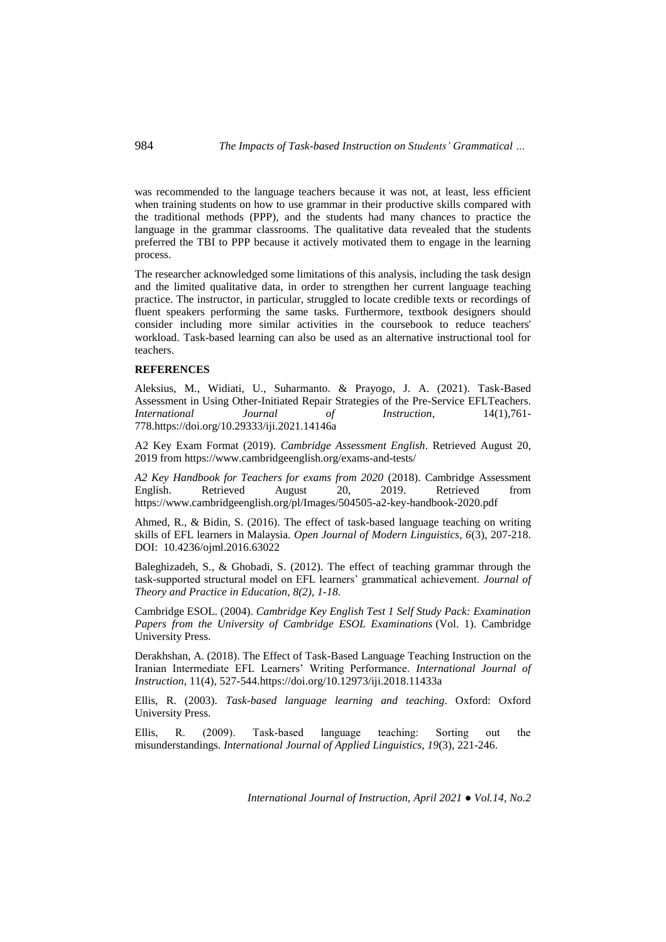was recommended to the language teachers because it was not, at least, less efficient when training students on how to use grammar in their productive skills compared with the traditional methods (PPP), and the students had many chances to practice the language in the grammar classrooms. The qualitative data revealed that the students preferred the TBI to PPP because it actively motivated them to engage in the learning process.

The researcher acknowledged some limitations of this analysis, including the task design and the limited qualitative data, in order to strengthen her current language teaching practice. The instructor, in particular, struggled to locate credible texts or recordings of fluent speakers performing the same tasks. Furthermore, textbook designers should consider including more similar activities in the coursebook to reduce teachers' workload. Task-based learning can also be used as an alternative instructional tool for teachers.

### **REFERENCES**

Aleksius, M., Widiati, U., Suharmanto. & Prayogo, J. A. (2021). Task-Based Assessment in Using Other-Initiated Repair Strategies of the Pre-Service EFLTeachers. *International Journal of Instruction*, 14(1),761- 778.https://doi.org/10.29333/iji.2021.14146a

A2 Key Exam Format (2019). *Cambridge Assessment English*. Retrieved August 20, 2019 from https://www.cambridgeenglish.org/exams-and-tests/

*A2 Key Handbook for Teachers for exams from 2020* (2018). Cambridge Assessment English. Retrieved August 20, 2019. Retrieved from https://www.cambridgeenglish.org/pl/Images/504505-a2-key-handbook-2020.pdf

Ahmed, R., & Bidin, S. (2016). The effect of task-based language teaching on writing skills of EFL learners in Malaysia. *Open Journal of Modern Linguistics, 6*(3), 207-218. DOI: [10.4236/ojml.2016.63022](http://www.scirp.org/journal/PaperInformation.aspx?PaperID=67180&#abstract)

Baleghizadeh, S., & Ghobadi, S. (2012). The effect of teaching grammar through the task-supported structural model on EFL learners' grammatical achievement. *Journal of Theory and Practice in Education, 8(2), 1-18.*

Cambridge ESOL. (2004). *Cambridge Key English Test 1 Self Study Pack: Examination Papers from the University of Cambridge ESOL Examinations* (Vol. 1). Cambridge University Press.

Derakhshan, A. (2018). The Effect of Task-Based Language Teaching Instruction on the Iranian Intermediate EFL Learners' Writing Performance. *International Journal of Instruction*, 11(4), 527-544.https://doi.org/10.12973/iji.2018.11433a

Ellis, R. (2003). *Task-based language learning and teaching*. Oxford: Oxford University Press.

Ellis, R. (2009). Task‐based language teaching: Sorting out the misunderstandings. *International Journal of Applied Linguistics*, *19*(3), 221-246.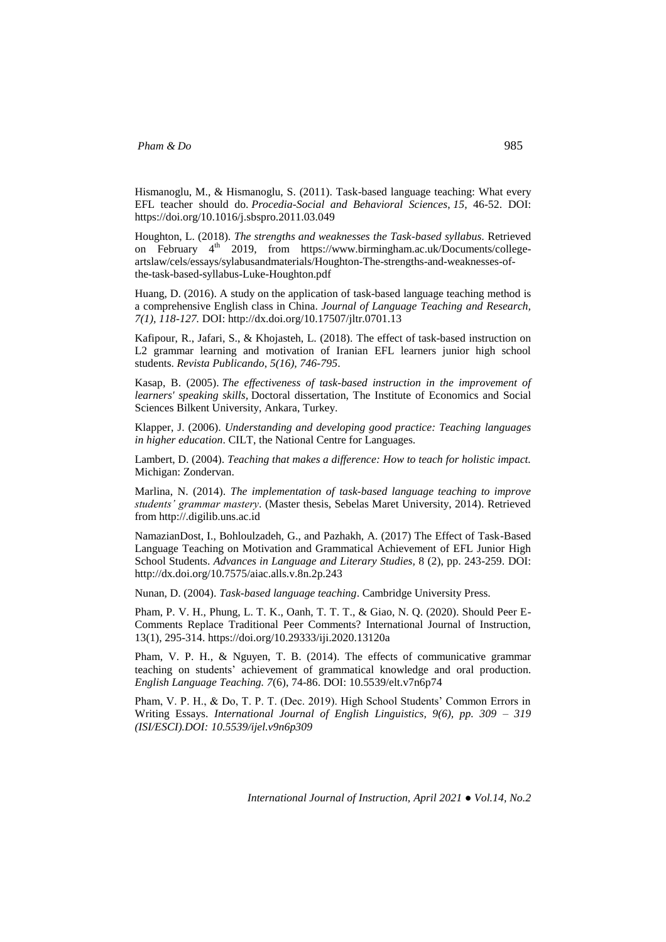Hismanoglu, M., & Hismanoglu, S. (2011). Task-based language teaching: What every EFL teacher should do. *Procedia-Social and Behavioral Sciences*, *15*, 46-52. DOI: <https://doi.org/10.1016/j.sbspro.2011.03.049>

Houghton, L. (2018). *The strengths and weaknesses the Task-based syllabus*. Retrieved on February 4<sup>th</sup> 2019, from [https://www.birmingham.ac.uk/Documents/college](https://www.birmingham.ac.uk/Documents/college-artslaw/cels/essays/sylabusandmaterials/Houghton-The-strengths-and-weaknesses-of-the-task-based-syllabus-Luke-Houghton.pdf)[artslaw/cels/essays/sylabusandmaterials/Houghton-The-strengths-and-weaknesses-of](https://www.birmingham.ac.uk/Documents/college-artslaw/cels/essays/sylabusandmaterials/Houghton-The-strengths-and-weaknesses-of-the-task-based-syllabus-Luke-Houghton.pdf)[the-task-based-syllabus-Luke-Houghton.pdf](https://www.birmingham.ac.uk/Documents/college-artslaw/cels/essays/sylabusandmaterials/Houghton-The-strengths-and-weaknesses-of-the-task-based-syllabus-Luke-Houghton.pdf)

Huang, D. (2016). A study on the application of task-based language teaching method is a comprehensive English class in China. *Journal of Language Teaching and Research, 7(1), 118-127.* DOI[: http://dx.doi.org/10.17507/jltr.0701.13](http://dx.doi.org/10.17507/jltr.0701.13)

Kafipour, R., Jafari, S., & Khojasteh, L. (2018). The effect of task-based instruction on L2 grammar learning and motivation of Iranian EFL learners junior high school students. *Revista Publicando*, *5(16), 746-795*.

Kasap, B. (2005). *The effectiveness of task-based instruction in the improvement of learners' speaking skills,* Doctoral dissertation, The Institute of Economics and Social Sciences Bilkent University, Ankara, Turkey.

Klapper, J. (2006). *Understanding and developing good practice: Teaching languages in higher education*. CILT, the National Centre for Languages.

Lambert, D. (2004). *Teaching that makes a difference: How to teach for holistic impact.* Michigan: Zondervan.

Marlina, N. (2014). *The implementation of task-based language teaching to improve students' grammar mastery*. (Master thesis, Sebelas Maret University, 2014). Retrieved from [http://.digilib.uns.ac.id](http://.digilib.uns.ac.id/)

NamazianDost, I., Bohloulzadeh, G., and Pazhakh, A. (2017) The Effect of Task-Based Language Teaching on Motivation and Grammatical Achievement of EFL Junior High School Students. *Advances in Language and Literary Studies,* 8 (2), pp. 243-259. DOI: <http://dx.doi.org/10.7575/aiac.alls.v.8n.2p.243>

Nunan, D. (2004). *Task-based language teaching*. Cambridge University Press.

Pham, P. V. H., Phung, L. T. K., Oanh, T. T. T., & Giao, N. Q. (2020). Should Peer E-Comments Replace Traditional Peer Comments? International Journal of Instruction, 13(1), 295-314.<https://doi.org/10.29333/iji.2020.13120a>

Pham, V. P. H., & Nguyen, T. B. (2014). The effects of communicative grammar teaching on students' achievement of grammatical knowledge and oral production. *English Language Teaching. 7*(6), 74-86. DOI: [10.5539/elt.v7n6p74](https://doi.org/10.5539/elt.v7n6p74)

Pham, V. P. H., & Do, T. P. T. (Dec. 2019). High School Students' Common Errors in Writing Essays. *International Journal of English Linguistics, 9(6), pp. 309 – 319 (ISI/ESCI).DOI: [10.5539/ijel.v9n6p309](https://doi.org/10.5539/ijel.v9n6p309)*